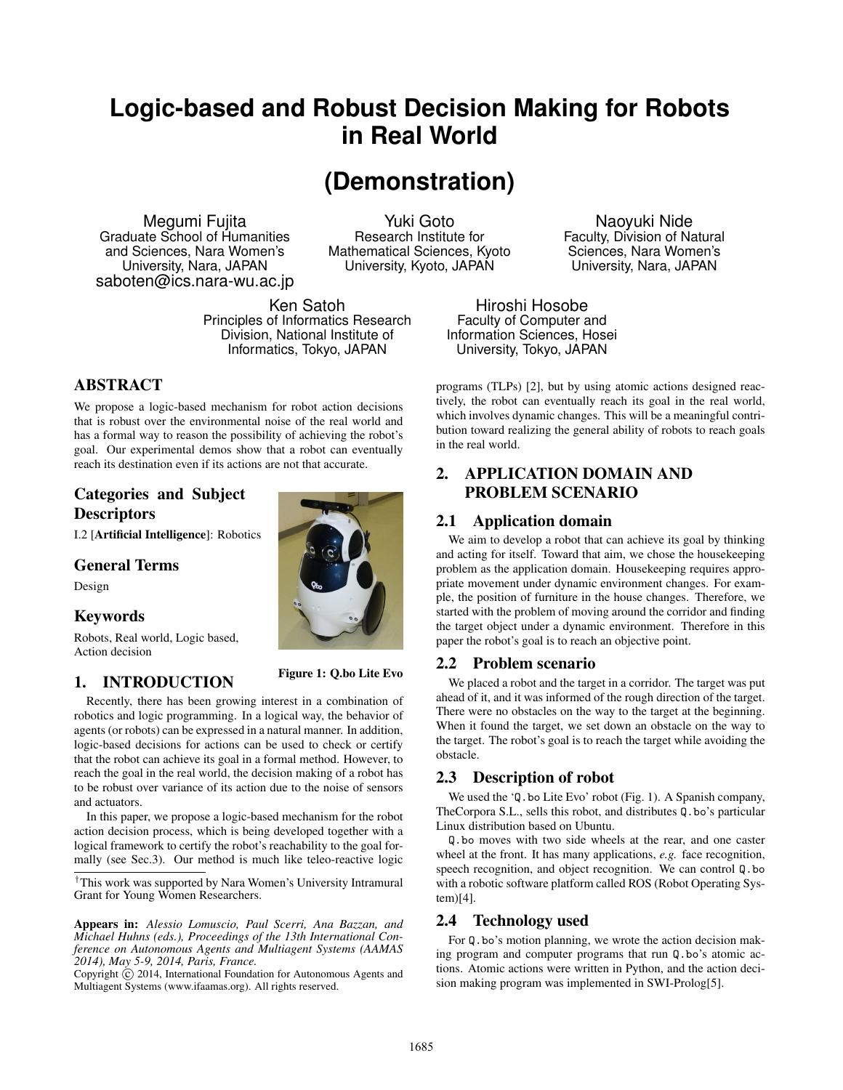# **Logic-based and Robust Decision Making for Robots in Real World**

# **(Demonstration)**

Megumi Fujita Graduate School of Humanities and Sciences, Nara Women's University, Nara, JAPAN saboten@ics.nara-wu.ac.jp

Yuki Goto Research Institute for Mathematical Sciences, Kyoto University, Kyoto, JAPAN

Ken Satoh Principles of Informatics Research Division, National Institute of Informatics, Tokyo, JAPAN

# ABSTRACT

We propose a logic-based mechanism for robot action decisions that is robust over the environmental noise of the real world and has a formal way to reason the possibility of achieving the robot's goal. Our experimental demos show that a robot can eventually reach its destination even if its actions are not that accurate.

# Categories and Subject **Descriptors**

I.2 [Artificial Intelligence]: Robotics

## General Terms

Design

## Keywords

Robots, Real world, Logic based, Action decision

# 1. INTRODUCTION



robotics and logic programming. In a logical way, the behavior of agents (or robots) can be expressed in a natural manner. In addition, logic-based decisions for actions can be used to check or certify that the robot can achieve its goal in a formal method. However, to reach the goal in the real world, the decision making of a robot has to be robust over variance of its action due to the noise of sensors and actuators.

In this paper, we propose a logic-based mechanism for the robot action decision process, which is being developed together with a logical framework to certify the robot's reachability to the goal formally (see Sec.3). Our method is much like teleo-reactive logic

*†*This work was supported by Nara Women's University Intramural Grant for Young Women Researchers.

Appears in: *Alessio Lomuscio, Paul Scerri, Ana Bazzan, and Michael Huhns (eds.), Proceedings of the 13th International Conference on Autonomous Agents and Multiagent Systems (AAMAS 2014), May 5-9, 2014, Paris, France.*

Copyright  $\overline{c}$  2014, International Foundation for Autonomous Agents and Multiagent Systems (www.ifaamas.org). All rights reserved.

Naoyuki Nide Faculty, Division of Natural Sciences, Nara Women's University, Nara, JAPAN

Hiroshi Hosobe Faculty of Computer and Information Sciences, Hosei University, Tokyo, JAPAN

programs (TLPs) [2], but by using atomic actions designed reactively, the robot can eventually reach its goal in the real world, which involves dynamic changes. This will be a meaningful contribution toward realizing the general ability of robots to reach goals in the real world.

# 2. APPLICATION DOMAIN AND PROBLEM SCENARIO

## 2.1 Application domain

We aim to develop a robot that can achieve its goal by thinking and acting for itself. Toward that aim, we chose the housekeeping problem as the application domain. Housekeeping requires appropriate movement under dynamic environment changes. For example, the position of furniture in the house changes. Therefore, we started with the problem of moving around the corridor and finding the target object under a dynamic environment. Therefore in this paper the robot's goal is to reach an objective point.

## 2.2 Problem scenario

We placed a robot and the target in a corridor. The target was put ahead of it, and it was informed of the rough direction of the target. There were no obstacles on the way to the target at the beginning. When it found the target, we set down an obstacle on the way to the target. The robot's goal is to reach the target while avoiding the obstacle.

#### 2.3 Description of robot

We used the 'Q.bo Lite Evo' robot (Fig. 1). A Spanish company, TheCorpora S.L., sells this robot, and distributes Q.bo's particular Linux distribution based on Ubuntu.

Q.bo moves with two side wheels at the rear, and one caster wheel at the front. It has many applications, *e.g.* face recognition, speech recognition, and object recognition. We can control Q.bo with a robotic software platform called ROS (Robot Operating System)[4].

## 2.4 Technology used

For Q.bo's motion planning, we wrote the action decision making program and computer programs that run Q.bo's atomic actions. Atomic actions were written in Python, and the action decision making program was implemented in SWI-Prolog[5].

1685